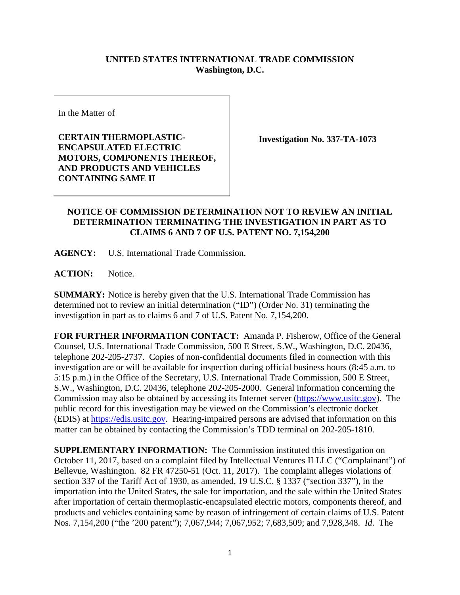## **UNITED STATES INTERNATIONAL TRADE COMMISSION Washington, D.C.**

In the Matter of

**CERTAIN THERMOPLASTIC-ENCAPSULATED ELECTRIC MOTORS, COMPONENTS THEREOF, AND PRODUCTS AND VEHICLES CONTAINING SAME II**

**Investigation No. 337-TA-1073**

## **NOTICE OF COMMISSION DETERMINATION NOT TO REVIEW AN INITIAL DETERMINATION TERMINATING THE INVESTIGATION IN PART AS TO CLAIMS 6 AND 7 OF U.S. PATENT NO. 7,154,200**

**AGENCY:** U.S. International Trade Commission.

**ACTION:** Notice.

**SUMMARY:** Notice is hereby given that the U.S. International Trade Commission has determined not to review an initial determination ("ID") (Order No. 31) terminating the investigation in part as to claims 6 and 7 of U.S. Patent No. 7,154,200.

**FOR FURTHER INFORMATION CONTACT:** Amanda P. Fisherow, Office of the General Counsel, U.S. International Trade Commission, 500 E Street, S.W., Washington, D.C. 20436, telephone 202-205-2737. Copies of non-confidential documents filed in connection with this investigation are or will be available for inspection during official business hours (8:45 a.m. to 5:15 p.m.) in the Office of the Secretary, U.S. International Trade Commission, 500 E Street, S.W., Washington, D.C. 20436, telephone 202-205-2000. General information concerning the Commission may also be obtained by accessing its Internet server [\(https://www.usitc.gov\)](https://www.usitc.gov/). The public record for this investigation may be viewed on the Commission's electronic docket (EDIS) at [https://edis.usitc.gov.](https://edis.usitc.gov/) Hearing-impaired persons are advised that information on this matter can be obtained by contacting the Commission's TDD terminal on 202-205-1810.

**SUPPLEMENTARY INFORMATION:** The Commission instituted this investigation on October 11, 2017, based on a complaint filed by Intellectual Ventures II LLC ("Complainant") of Bellevue, Washington. 82 FR 47250-51 (Oct. 11, 2017). The complaint alleges violations of section 337 of the Tariff Act of 1930, as amended, 19 U.S.C. § 1337 ("section 337"), in the importation into the United States, the sale for importation, and the sale within the United States after importation of certain thermoplastic-encapsulated electric motors, components thereof, and products and vehicles containing same by reason of infringement of certain claims of U.S. Patent Nos. 7,154,200 ("the '200 patent"); 7,067,944; 7,067,952; 7,683,509; and 7,928,348. *Id*. The